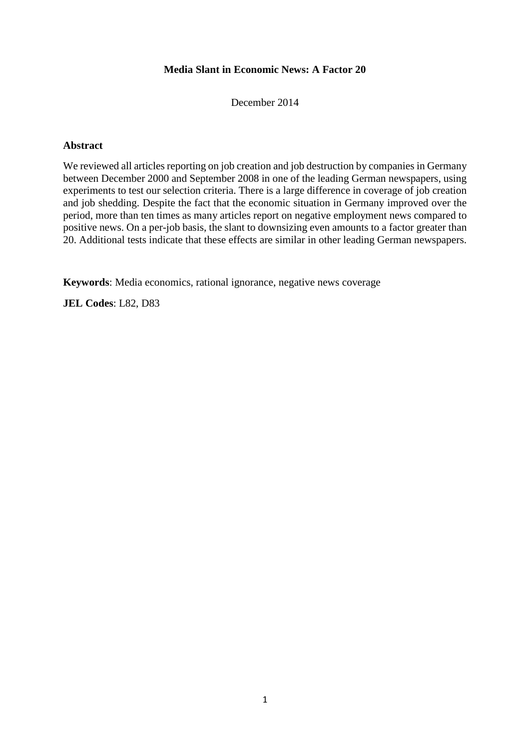## **Media Slant in Economic News: A Factor 20**

December 2014

### **Abstract**

We reviewed all articles reporting on job creation and job destruction by companies in Germany between December 2000 and September 2008 in one of the leading German newspapers, using experiments to test our selection criteria. There is a large difference in coverage of job creation and job shedding. Despite the fact that the economic situation in Germany improved over the period, more than ten times as many articles report on negative employment news compared to positive news. On a per-job basis, the slant to downsizing even amounts to a factor greater than 20. Additional tests indicate that these effects are similar in other leading German newspapers.

**Keywords**: Media economics, rational ignorance, negative news coverage

**JEL Codes**: L82, D83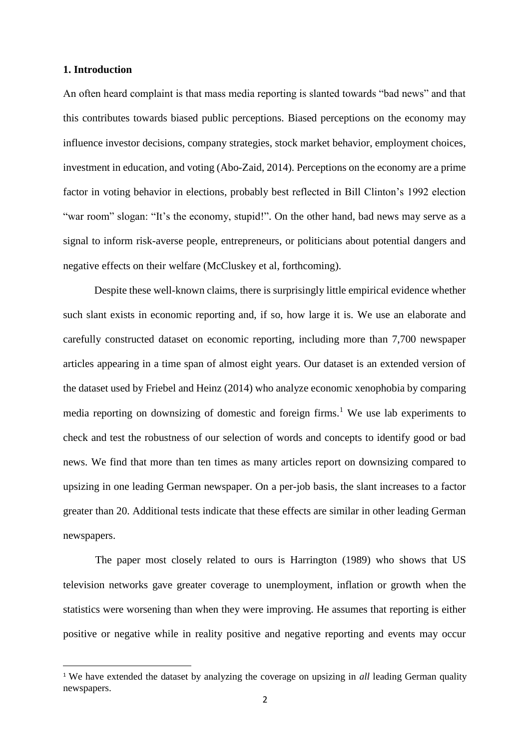### **1. Introduction**

 $\overline{\phantom{a}}$ 

An often heard complaint is that mass media reporting is slanted towards "bad news" and that this contributes towards biased public perceptions. Biased perceptions on the economy may influence investor decisions, company strategies, stock market behavior, employment choices, investment in education, and voting (Abo-Zaid, 2014). Perceptions on the economy are a prime factor in voting behavior in elections, probably best reflected in Bill Clinton's 1992 election "war room" slogan: "It's the economy, stupid!". On the other hand, bad news may serve as a signal to inform risk-averse people, entrepreneurs, or politicians about potential dangers and negative effects on their welfare (McCluskey et al, forthcoming).

Despite these well-known claims, there is surprisingly little empirical evidence whether such slant exists in economic reporting and, if so, how large it is. We use an elaborate and carefully constructed dataset on economic reporting, including more than 7,700 newspaper articles appearing in a time span of almost eight years. Our dataset is an extended version of the dataset used by Friebel and Heinz (2014) who analyze economic xenophobia by comparing media reporting on downsizing of domestic and foreign firms.<sup>1</sup> We use lab experiments to check and test the robustness of our selection of words and concepts to identify good or bad news. We find that more than ten times as many articles report on downsizing compared to upsizing in one leading German newspaper. On a per-job basis, the slant increases to a factor greater than 20. Additional tests indicate that these effects are similar in other leading German newspapers.

The paper most closely related to ours is Harrington (1989) who shows that US television networks gave greater coverage to unemployment, inflation or growth when the statistics were worsening than when they were improving. He assumes that reporting is either positive or negative while in reality positive and negative reporting and events may occur

<sup>&</sup>lt;sup>1</sup> We have extended the dataset by analyzing the coverage on upsizing in *all* leading German quality newspapers.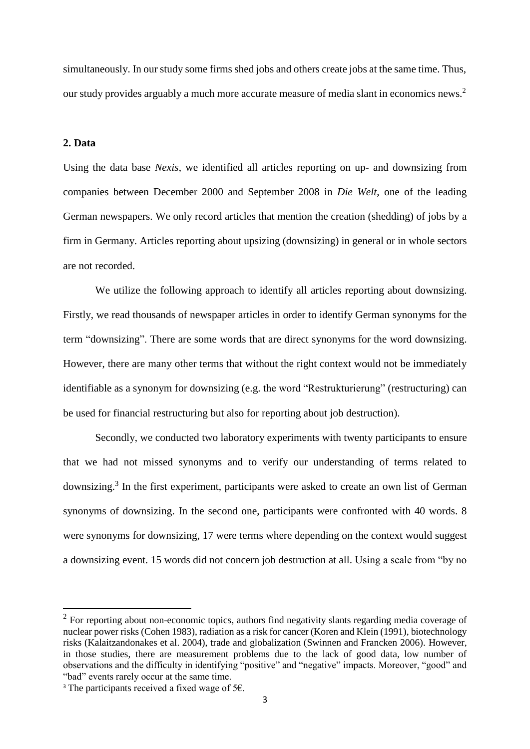simultaneously. In our study some firms shed jobs and others create jobs at the same time. Thus, our study provides arguably a much more accurate measure of media slant in economics news.<sup>2</sup>

### **2. Data**

Using the data base *Nexis*, we identified all articles reporting on up- and downsizing from companies between December 2000 and September 2008 in *Die Welt*, one of the leading German newspapers. We only record articles that mention the creation (shedding) of jobs by a firm in Germany. Articles reporting about upsizing (downsizing) in general or in whole sectors are not recorded.

We utilize the following approach to identify all articles reporting about downsizing. Firstly, we read thousands of newspaper articles in order to identify German synonyms for the term "downsizing". There are some words that are direct synonyms for the word downsizing. However, there are many other terms that without the right context would not be immediately identifiable as a synonym for downsizing (e.g. the word "Restrukturierung" (restructuring) can be used for financial restructuring but also for reporting about job destruction).

Secondly, we conducted two laboratory experiments with twenty participants to ensure that we had not missed synonyms and to verify our understanding of terms related to downsizing.<sup>3</sup> In the first experiment, participants were asked to create an own list of German synonyms of downsizing. In the second one, participants were confronted with 40 words. 8 were synonyms for downsizing, 17 were terms where depending on the context would suggest a downsizing event. 15 words did not concern job destruction at all. Using a scale from "by no

 $\overline{a}$ 

 $2$  For reporting about non-economic topics, authors find negativity slants regarding media coverage of nuclear power risks (Cohen 1983), radiation as a risk for cancer (Koren and Klein (1991), biotechnology risks (Kalaitzandonakes et al. 2004), trade and globalization (Swinnen and Francken 2006). However, in those studies, there are measurement problems due to the lack of good data, low number of observations and the difficulty in identifying "positive" and "negative" impacts. Moreover, "good" and "bad" events rarely occur at the same time.

<sup>&</sup>lt;sup>3</sup> The participants received a fixed wage of 5 $\epsilon$ .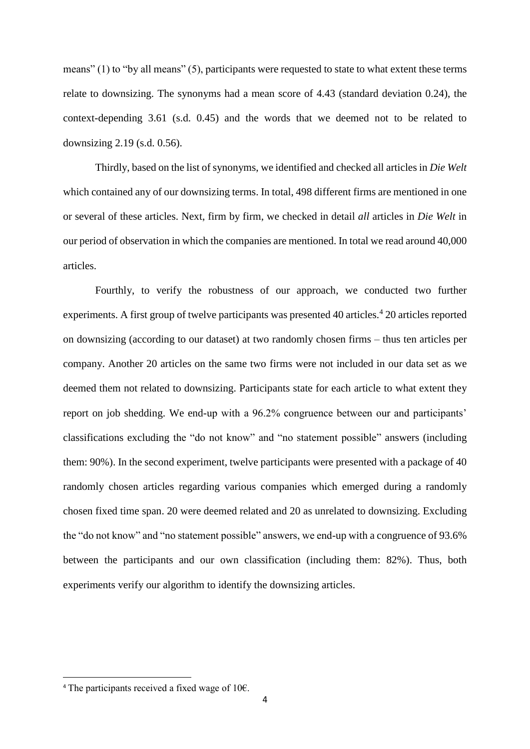means" (1) to "by all means" (5), participants were requested to state to what extent these terms relate to downsizing. The synonyms had a mean score of 4.43 (standard deviation 0.24), the context-depending 3.61 (s.d. 0.45) and the words that we deemed not to be related to downsizing 2.19 (s.d. 0.56).

Thirdly, based on the list of synonyms, we identified and checked all articles in *Die Welt* which contained any of our downsizing terms. In total, 498 different firms are mentioned in one or several of these articles. Next, firm by firm, we checked in detail *all* articles in *Die Welt* in our period of observation in which the companies are mentioned. In total we read around 40,000 articles.

Fourthly, to verify the robustness of our approach, we conducted two further experiments. A first group of twelve participants was presented 40 articles.<sup>4</sup> 20 articles reported on downsizing (according to our dataset) at two randomly chosen firms – thus ten articles per company. Another 20 articles on the same two firms were not included in our data set as we deemed them not related to downsizing. Participants state for each article to what extent they report on job shedding. We end-up with a 96.2% congruence between our and participants' classifications excluding the "do not know" and "no statement possible" answers (including them: 90%). In the second experiment, twelve participants were presented with a package of 40 randomly chosen articles regarding various companies which emerged during a randomly chosen fixed time span. 20 were deemed related and 20 as unrelated to downsizing. Excluding the "do not know" and "no statement possible" answers, we end-up with a congruence of 93.6% between the participants and our own classification (including them: 82%). Thus, both experiments verify our algorithm to identify the downsizing articles.

 $\overline{\phantom{a}}$ 

<sup>&</sup>lt;sup>4</sup> The participants received a fixed wage of 10 $\epsilon$ .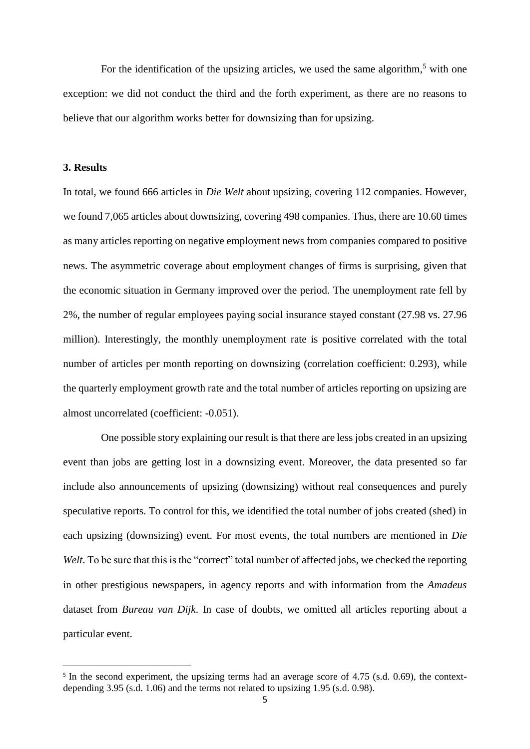For the identification of the upsizing articles, we used the same algorithm,<sup>5</sup> with one exception: we did not conduct the third and the forth experiment, as there are no reasons to believe that our algorithm works better for downsizing than for upsizing.

### **3. Results**

 $\overline{\phantom{a}}$ 

In total, we found 666 articles in *Die Welt* about upsizing, covering 112 companies. However, we found 7,065 articles about downsizing, covering 498 companies. Thus, there are 10.60 times as many articles reporting on negative employment news from companies compared to positive news. The asymmetric coverage about employment changes of firms is surprising, given that the economic situation in Germany improved over the period. The unemployment rate fell by 2%, the number of regular employees paying social insurance stayed constant (27.98 vs. 27.96 million). Interestingly, the monthly unemployment rate is positive correlated with the total number of articles per month reporting on downsizing (correlation coefficient: 0.293), while the quarterly employment growth rate and the total number of articles reporting on upsizing are almost uncorrelated (coefficient: -0.051).

One possible story explaining our result is that there are less jobs created in an upsizing event than jobs are getting lost in a downsizing event. Moreover, the data presented so far include also announcements of upsizing (downsizing) without real consequences and purely speculative reports. To control for this, we identified the total number of jobs created (shed) in each upsizing (downsizing) event. For most events, the total numbers are mentioned in *Die*  Welt. To be sure that this is the "correct" total number of affected jobs, we checked the reporting in other prestigious newspapers, in agency reports and with information from the *Amadeus* dataset from *Bureau van Dijk*. In case of doubts, we omitted all articles reporting about a particular event.

<sup>&</sup>lt;sup>5</sup> In the second experiment, the upsizing terms had an average score of 4.75 (s.d. 0.69), the contextdepending 3.95 (s.d. 1.06) and the terms not related to upsizing 1.95 (s.d. 0.98).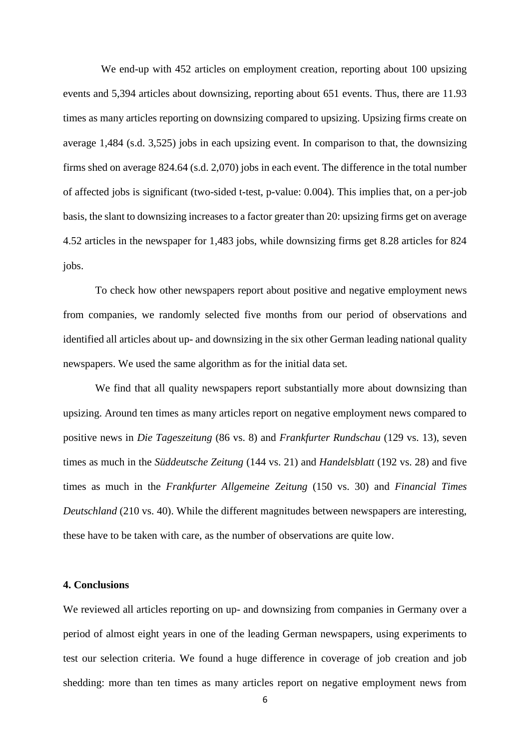We end-up with 452 articles on employment creation, reporting about 100 upsizing events and 5,394 articles about downsizing, reporting about 651 events. Thus, there are 11.93 times as many articles reporting on downsizing compared to upsizing. Upsizing firms create on average 1,484 (s.d. 3,525) jobs in each upsizing event. In comparison to that, the downsizing firms shed on average 824.64 (s.d. 2,070) jobs in each event. The difference in the total number of affected jobs is significant (two-sided t-test, p-value: 0.004). This implies that, on a per-job basis, the slant to downsizing increases to a factor greater than 20: upsizing firms get on average 4.52 articles in the newspaper for 1,483 jobs, while downsizing firms get 8.28 articles for 824 jobs.

To check how other newspapers report about positive and negative employment news from companies, we randomly selected five months from our period of observations and identified all articles about up- and downsizing in the six other German leading national quality newspapers. We used the same algorithm as for the initial data set.

We find that all quality newspapers report substantially more about downsizing than upsizing. Around ten times as many articles report on negative employment news compared to positive news in *Die Tageszeitung* (86 vs. 8) and *Frankfurter Rundschau* (129 vs. 13), seven times as much in the *Süddeutsche Zeitung* (144 vs. 21) and *Handelsblatt* (192 vs. 28) and five times as much in the *Frankfurter Allgemeine Zeitung* (150 vs. 30) and *Financial Times Deutschland* (210 vs. 40). While the different magnitudes between newspapers are interesting, these have to be taken with care, as the number of observations are quite low.

### **4. Conclusions**

We reviewed all articles reporting on up- and downsizing from companies in Germany over a period of almost eight years in one of the leading German newspapers, using experiments to test our selection criteria. We found a huge difference in coverage of job creation and job shedding: more than ten times as many articles report on negative employment news from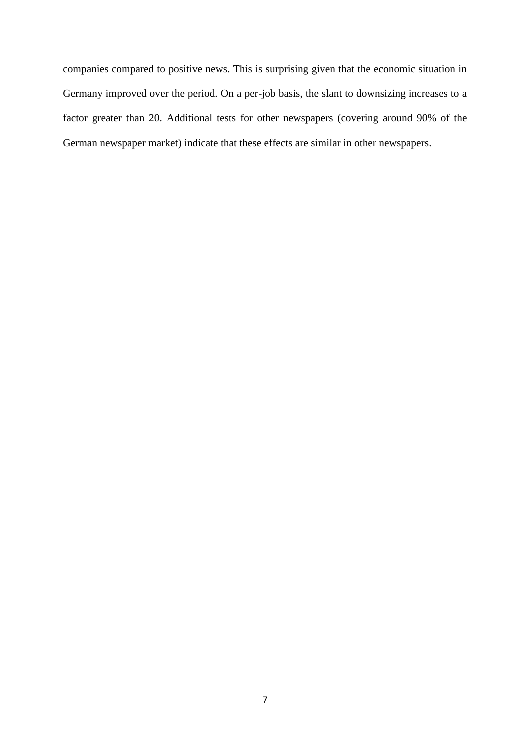companies compared to positive news. This is surprising given that the economic situation in Germany improved over the period. On a per-job basis, the slant to downsizing increases to a factor greater than 20. Additional tests for other newspapers (covering around 90% of the German newspaper market) indicate that these effects are similar in other newspapers.